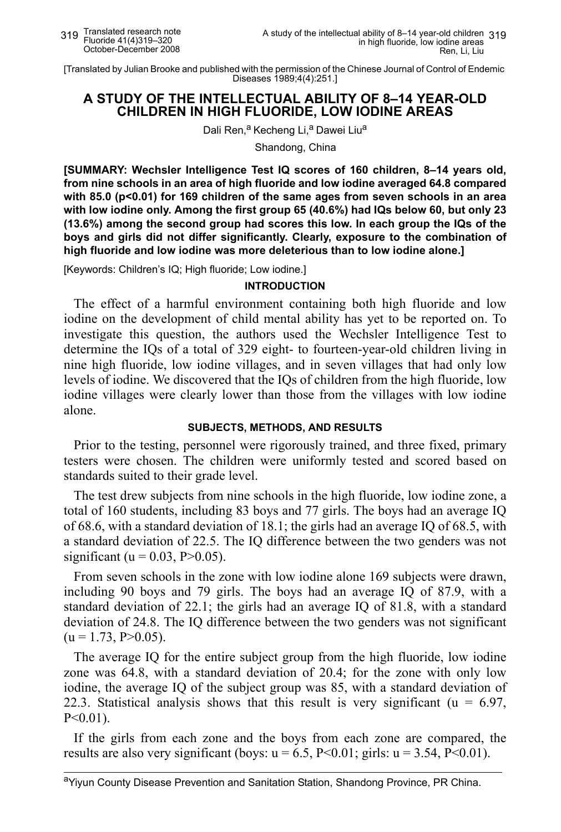[Translated by Julian Brooke and published with the permission of the Chinese Journal of Control of Endemic Diseases 1989;4(4):251.]

# **A STUDY OF THE INTELLECTUAL ABILITY OF 8–14 YEAR-OLD CHILDREN IN HIGH FLUORIDE, LOW IODINE AREAS**

Dali Ren,<sup>a</sup> Kecheng Li,<sup>a</sup> Dawei Liu<sup>a</sup>

Shandong, China

**[SUMMARY: Wechsler Intelligence Test IQ scores of 160 children, 8–14 years old, from nine schools in an area of high fluoride and low iodine averaged 64.8 compared with 85.0 (p<0.01) for 169 children of the same ages from seven schools in an area with low iodine only. Among the first group 65 (40.6%) had IQs below 60, but only 23 (13.6%) among the second group had scores this low. In each group the IQs of the boys and girls did not differ significantly. Clearly, exposure to the combination of high fluoride and low iodine was more deleterious than to low iodine alone.]**

[Keywords: Children's IQ; High fluoride; Low iodine.]

#### **INTRODUCTION**

The effect of a harmful environment containing both high fluoride and low iodine on the development of child mental ability has yet to be reported on. To investigate this question, the authors used the Wechsler Intelligence Test to determine the IQs of a total of 329 eight- to fourteen-year-old children living in nine high fluoride, low iodine villages, and in seven villages that had only low levels of iodine. We discovered that the IQs of children from the high fluoride, low iodine villages were clearly lower than those from the villages with low iodine alone.

#### **SUBJECTS, METHODS, AND RESULTS**

Prior to the testing, personnel were rigorously trained, and three fixed, primary testers were chosen. The children were uniformly tested and scored based on standards suited to their grade level.

The test drew subjects from nine schools in the high fluoride, low iodine zone, a total of 160 students, including 83 boys and 77 girls. The boys had an average IQ of 68.6, with a standard deviation of 18.1; the girls had an average IQ of 68.5, with a standard deviation of 22.5. The IQ difference between the two genders was not significant ( $u = 0.03$ ,  $P > 0.05$ ).

From seven schools in the zone with low iodine alone 169 subjects were drawn, including 90 boys and 79 girls. The boys had an average IQ of 87.9, with a standard deviation of 22.1; the girls had an average IQ of 81.8, with a standard deviation of 24.8. The IQ difference between the two genders was not significant  $(u = 1.73, P > 0.05)$ .

The average IQ for the entire subject group from the high fluoride, low iodine zone was 64.8, with a standard deviation of 20.4; for the zone with only low iodine, the average IQ of the subject group was 85, with a standard deviation of 22.3. Statistical analysis shows that this result is very significant ( $u = 6.97$ ,  $P<0.01$ ).

If the girls from each zone and the boys from each zone are compared, the results are also very significant (boys:  $u = 6.5$ , P<0.01; girls:  $u = 3.54$ , P<0.01).

aYiyun County Disease Prevention and Sanitation Station, Shandong Province, PR China.